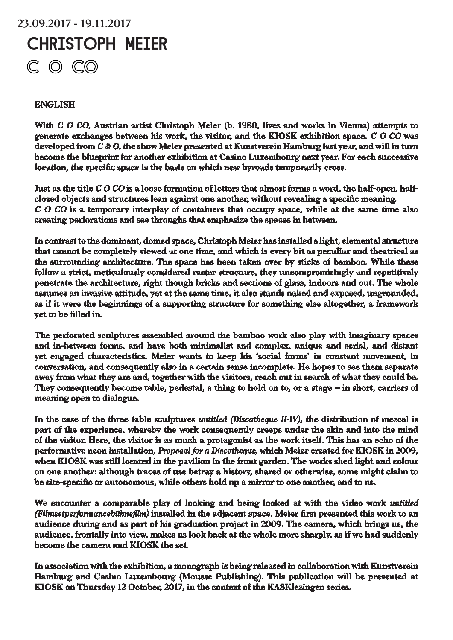# 23.09.2017 - 19.11.2017 CHRISTOPH MEIER $C$   $O$   $CO$

# **ENGLISH**

With *C O CO*, Austrian artist Christoph Meier (b. 1980, lives and works in Vienna) attempts to generate exchanges between his work, the visitor, and the KIOSK exhibition space. *C O CO* was developed from *C & O*, the show Meier presented at Kunstverein Hamburg last year, and will in turn become the blueprint for another exhibition at Casino Luxembourg next year. For each successive location, the specific space is the basis on which new byroads temporarily cross.

Just as the title *C O CO* is a loose formation of letters that almost forms a word, the half-open, halfclosed objects and structures lean against one another, without revealing a specific meaning. *C O CO* is a temporary interplay of containers that occupy space, while at the same time also creating perforations and see throughs that emphasize the spaces in between.

In contrast to the dominant, domed space, Christoph Meier has installed a light, elemental structure that cannot be completely viewed at one time, and which is every bit as peculiar and theatrical as the surrounding architecture. The space has been taken over by sticks of bamboo. While these follow a strict, meticulously considered raster structure, they uncompromisingly and repetitively penetrate the architecture, right though bricks and sections of glass, indoors and out. The whole assumes an invasive attitude, yet at the same time, it also stands naked and exposed, ungrounded, as if it were the beginnings of a supporting structure for something else altogether, a framework yet to be filled in.

The perforated sculptures assembled around the bamboo work also play with imaginary spaces and in-between forms, and have both minimalist and complex, unique and serial, and distant yet engaged characteristics. Meier wants to keep his 'social forms' in constant movement, in conversation, and consequently also in a certain sense incomplete. He hopes to see them separate away from what they are and, together with the visitors, reach out in search of what they could be. They consequently become table, pedestal, a thing to hold on to, or a stage – in short, carriers of meaning open to dialogue.

In the case of the three table sculptures *untitled (Discotheque II-IV)*, the distribution of mezcal is part of the experience, whereby the work consequently creeps under the skin and into the mind of the visitor. Here, the visitor is as much a protagonist as the work itself. This has an echo of the performative neon installation, *Proposal for a Discotheque,* which Meier created for KIOSK in 2009, when KIOSK was still located in the pavilion in the front garden. The works shed light and colour on one another: although traces of use betray a history, shared or otherwise, some might claim to be site-specific or autonomous, while others hold up a mirror to one another, and to us.

We encounter a comparable play of looking and being looked at with the video work *untitled (Filmsetperformancebühnefilm)* installed in the adjacent space. Meier first presented this work to an audience during and as part of his graduation project in 2009. The camera, which brings us, the audience, frontally into view, makes us look back at the whole more sharply, as if we had suddenly become the camera and KIOSK the set.

In association with the exhibition, a monograph is being released in collaboration with Kunstverein Hamburg and Casino Luxembourg (Mousse Publishing). This publication will be presented at KIOSK on Thursday 12 October, 2017, in the context of the KASKlezingen series.